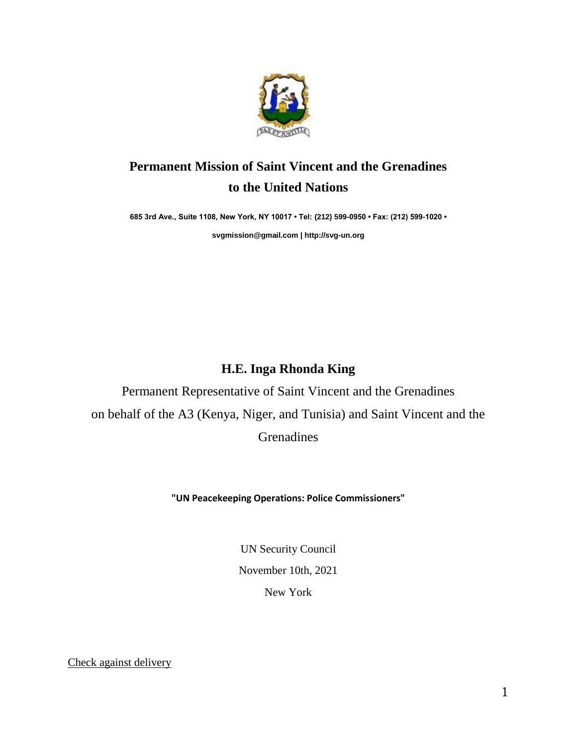

# **Permanent Mission of Saint Vincent and the Grenadines to the United Nations**

**685 3rd Ave., Suite 1108, New York, NY 10017 • Tel: (212) 599-0950 • Fax: (212) 599-1020 •** 

**[svgmission@gmail.com](mailto:svgmission@gmail.com) [| http://svg-un.org](http://svg-un.org/)**

## **H.E. Inga Rhonda King**

Permanent Representative of Saint Vincent and the Grenadines on behalf of the A3 (Kenya, Niger, and Tunisia) and Saint Vincent and the Grenadines

#### **"UN Peacekeeping Operations: Police Commissioners"**

UN Security Council

November 10th, 2021

New York

Check against delivery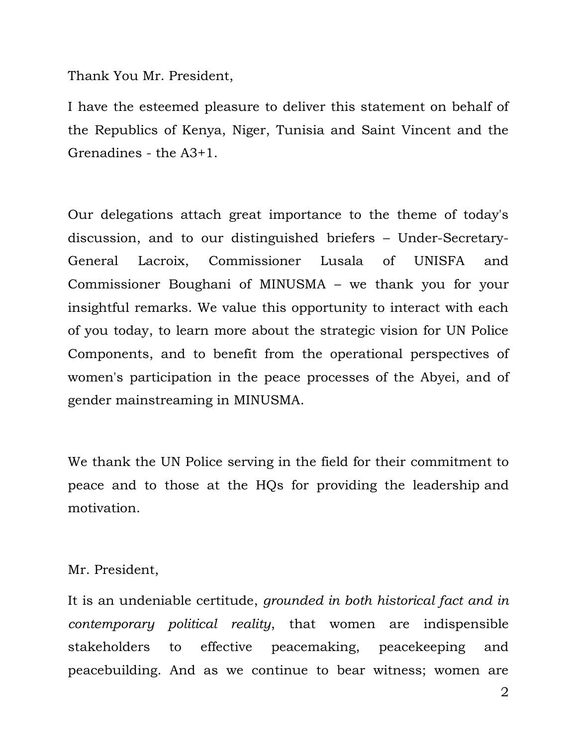Thank You Mr. President,

I have the esteemed pleasure to deliver this statement on behalf of the Republics of Kenya, Niger, Tunisia and Saint Vincent and the Grenadines - the A3+1.

Our delegations attach great importance to the theme of today's discussion, and to our distinguished briefers – Under-Secretary-General Lacroix, Commissioner Lusala of UNISFA and Commissioner Boughani of MINUSMA – we thank you for your insightful remarks. We value this opportunity to interact with each of you today, to learn more about the strategic vision for UN Police Components, and to benefit from the operational perspectives of women's participation in the peace processes of the Abyei, and of gender mainstreaming in MINUSMA.

We thank the UN Police serving in the field for their commitment to peace and to those at the HQs for providing the leadership and motivation.

## Mr. President,

It is an undeniable certitude, *grounded in both historical fact and in contemporary political reality*, that women are indispensible stakeholders to effective peacemaking, peacekeeping and peacebuilding. And as we continue to bear witness; women are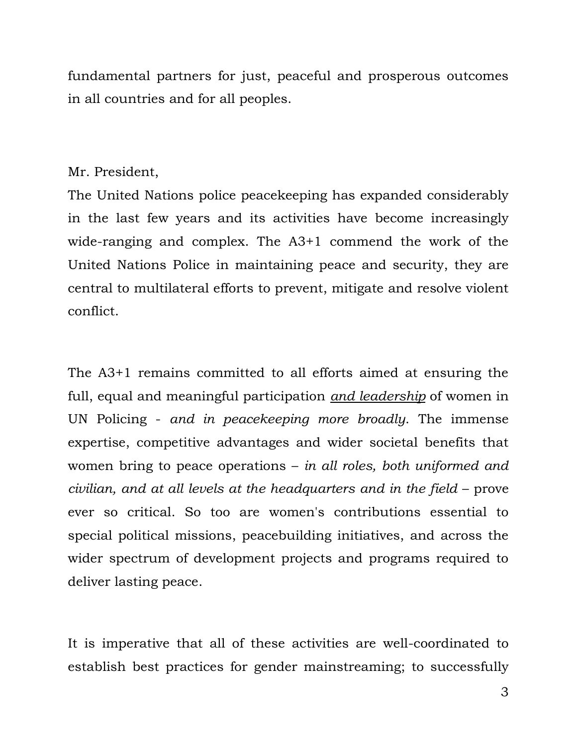fundamental partners for just, peaceful and prosperous outcomes in all countries and for all peoples.

## Mr. President,

The United Nations police peacekeeping has expanded considerably in the last few years and its activities have become increasingly wide-ranging and complex. The A3+1 commend the work of the United Nations Police in maintaining peace and security, they are central to multilateral efforts to prevent, mitigate and resolve violent conflict.

The A3+1 remains committed to all efforts aimed at ensuring the full, equal and meaningful participation *and leadership* of women in UN Policing - *and in peacekeeping more broadly*. The immense expertise, competitive advantages and wider societal benefits that women bring to peace operations – *in all roles, both uniformed and civilian, and at all levels at the headquarters and in the field* – prove ever so critical. So too are women's contributions essential to special political missions, peacebuilding initiatives, and across the wider spectrum of development projects and programs required to deliver lasting peace.

It is imperative that all of these activities are well-coordinated to establish best practices for gender mainstreaming; to successfully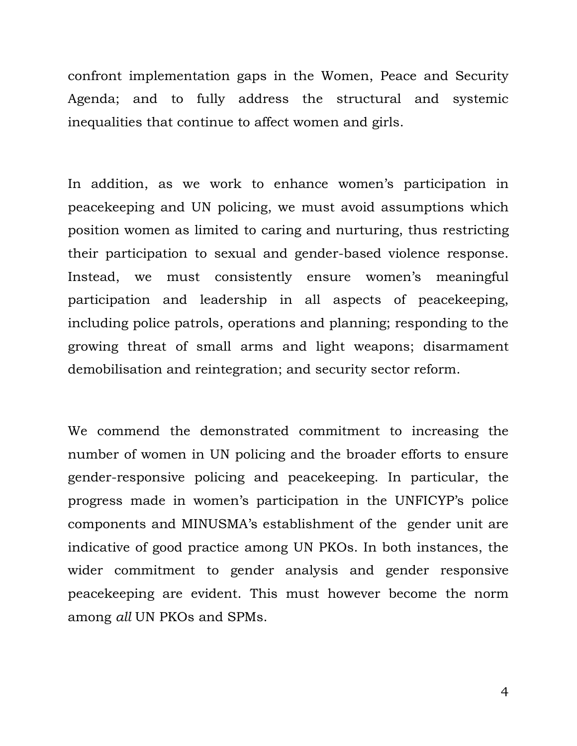confront implementation gaps in the Women, Peace and Security Agenda; and to fully address the structural and systemic inequalities that continue to affect women and girls.

In addition, as we work to enhance women's participation in peacekeeping and UN policing, we must avoid assumptions which position women as limited to caring and nurturing, thus restricting their participation to sexual and gender-based violence response. Instead, we must consistently ensure women's meaningful participation and leadership in all aspects of peacekeeping, including police patrols, operations and planning; responding to the growing threat of small arms and light weapons; disarmament demobilisation and reintegration; and security sector reform.

We commend the demonstrated commitment to increasing the number of women in UN policing and the broader efforts to ensure gender-responsive policing and peacekeeping. In particular, the progress made in women's participation in the UNFICYP's police components and MINUSMA's establishment of the gender unit are indicative of good practice among UN PKOs. In both instances, the wider commitment to gender analysis and gender responsive peacekeeping are evident. This must however become the norm among *all* UN PKOs and SPMs.

4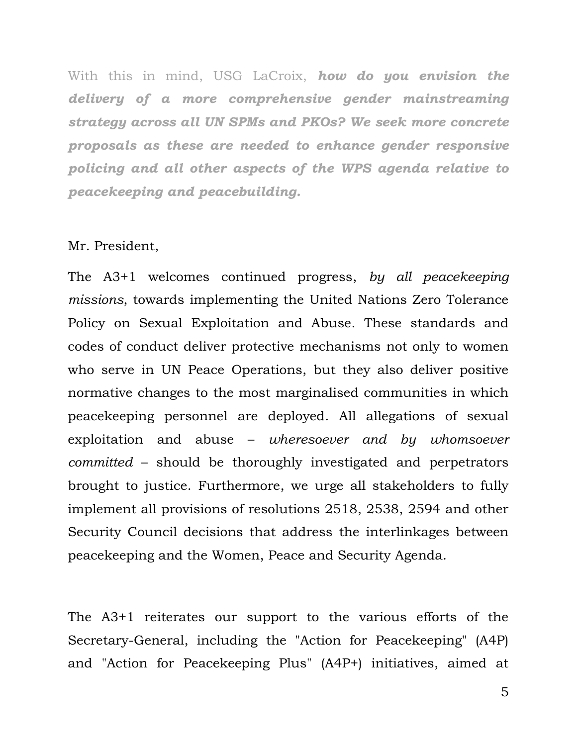With this in mind, USG LaCroix, *how do you envision the delivery of a more comprehensive gender mainstreaming strategy across all UN SPMs and PKOs? We seek more concrete proposals as these are needed to enhance gender responsive policing and all other aspects of the WPS agenda relative to peacekeeping and peacebuilding.*

## Mr. President,

The A3+1 welcomes continued progress, *by all peacekeeping missions*, towards implementing the United Nations Zero Tolerance Policy on Sexual Exploitation and Abuse. These standards and codes of conduct deliver protective mechanisms not only to women who serve in UN Peace Operations, but they also deliver positive normative changes to the most marginalised communities in which peacekeeping personnel are deployed. All allegations of sexual exploitation and abuse – *wheresoever and by whomsoever committed* – should be thoroughly investigated and perpetrators brought to justice. Furthermore, we urge all stakeholders to fully implement all provisions of resolutions 2518, 2538, 2594 and other Security Council decisions that address the interlinkages between peacekeeping and the Women, Peace and Security Agenda.

The A3+1 reiterates our support to the various efforts of the Secretary-General, including the "Action for Peacekeeping" (A4P) and "Action for Peacekeeping Plus" (A4P+) initiatives, aimed at

5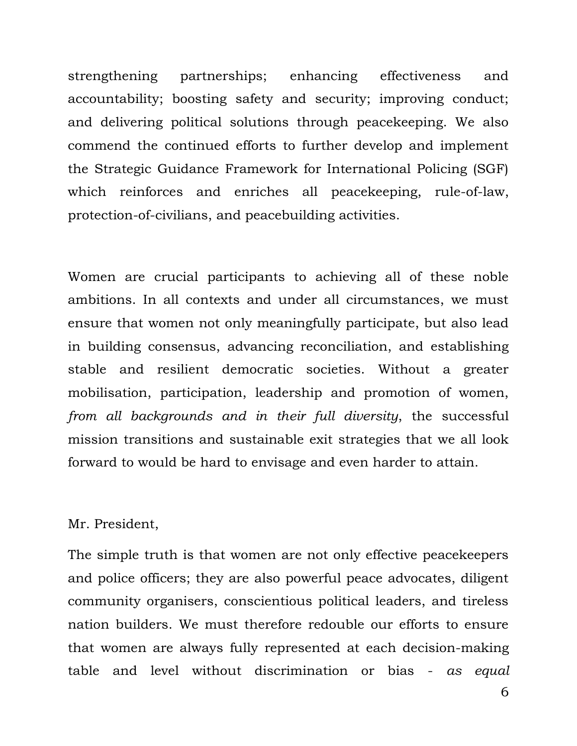strengthening partnerships; enhancing effectiveness and accountability; boosting safety and security; improving conduct; and delivering political solutions through peacekeeping. We also commend the continued efforts to further develop and implement the Strategic Guidance Framework for International Policing (SGF) which reinforces and enriches all peacekeeping, rule-of-law, protection-of-civilians, and peacebuilding activities.

Women are crucial participants to achieving all of these noble ambitions. In all contexts and under all circumstances, we must ensure that women not only meaningfully participate, but also lead in building consensus, advancing reconciliation, and establishing stable and resilient democratic societies. Without a greater mobilisation, participation, leadership and promotion of women, *from all backgrounds and in their full diversity*, the successful mission transitions and sustainable exit strategies that we all look forward to would be hard to envisage and even harder to attain.

## Mr. President,

The simple truth is that women are not only effective peacekeepers and police officers; they are also powerful peace advocates, diligent community organisers, conscientious political leaders, and tireless nation builders. We must therefore redouble our efforts to ensure that women are always fully represented at each decision-making table and level without discrimination or bias - *as equal*